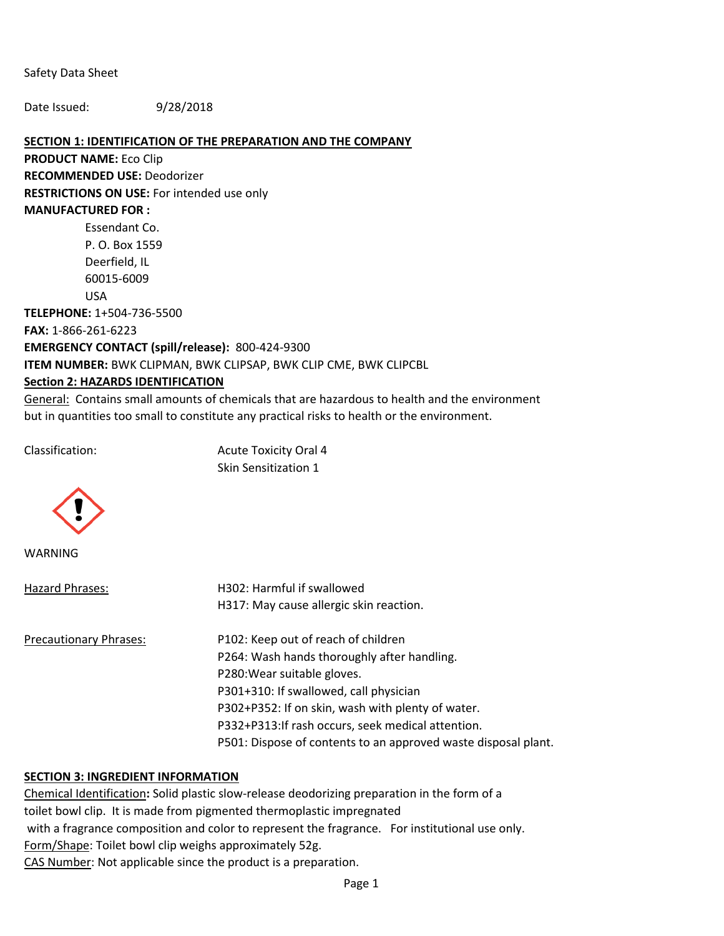Safety Data Sheet

Date Issued: 9/28/2018

### **SECTION 1: IDENTIFICATION OF THE PREPARATION AND THE COMPANY**

**PRODUCT NAME:** Eco Clip **RECOMMENDED USE:** Deodorizer **RESTRICTIONS ON USE:** For intended use only **MANUFACTURED FOR :**  Essendant Co. P. O. Box 1559

Deerfield, IL 60015-6009 USA **TELEPHONE:** 1+504-736-5500 **FAX:** 1-866-261-6223 **EMERGENCY CONTACT (spill/release):** 800-424-9300 **ITEM NUMBER:** BWK CLIPMAN, BWK CLIPSAP, BWK CLIP CME, BWK CLIPCBL

### **Section 2: HAZARDS IDENTIFICATION**

General: Contains small amounts of chemicals that are hazardous to health and the environment but in quantities too small to constitute any practical risks to health or the environment.

Classification: Acute Toxicity Oral 4 Skin Sensitization 1



WARNING

| Hazard Phrases:        | H302: Harmful if swallowed                                     |  |  |
|------------------------|----------------------------------------------------------------|--|--|
|                        | H317: May cause allergic skin reaction.                        |  |  |
| Precautionary Phrases: | P102: Keep out of reach of children                            |  |  |
|                        | P264: Wash hands thoroughly after handling.                    |  |  |
|                        | P280: Wear suitable gloves.                                    |  |  |
|                        | P301+310: If swallowed, call physician                         |  |  |
|                        | P302+P352: If on skin, wash with plenty of water.              |  |  |
|                        | P332+P313: If rash occurs, seek medical attention.             |  |  |
|                        | P501: Dispose of contents to an approved waste disposal plant. |  |  |
|                        |                                                                |  |  |

### **SECTION 3: INGREDIENT INFORMATION**

Chemical Identification**:** Solid plastic slow-release deodorizing preparation in the form of a toilet bowl clip. It is made from pigmented thermoplastic impregnated with a fragrance composition and color to represent the fragrance. For institutional use only. Form/Shape: Toilet bowl clip weighs approximately 52g. CAS Number: Not applicable since the product is a preparation.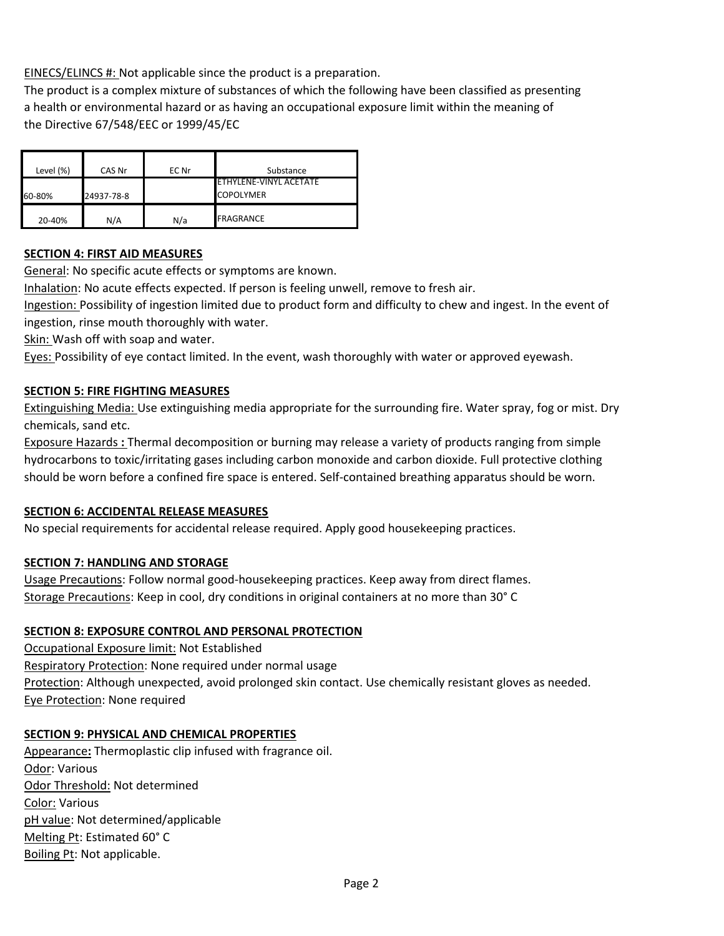EINECS/ELINCS #: Not applicable since the product is a preparation.

The product is a complex mixture of substances of which the following have been classified as presenting a health or environmental hazard or as having an occupational exposure limit within the meaning of the Directive 67/548/EEC or 1999/45/EC

| Level (%) | CAS Nr     | EC Nr | Substance                                  |
|-----------|------------|-------|--------------------------------------------|
| 60-80%    | 24937-78-8 |       | FTHYLENE-VINYL ACFTATE<br><b>COPOLYMER</b> |
| 20-40%    | N/A        | N/a   | <b>FRAGRANCE</b>                           |

# **SECTION 4: FIRST AID MEASURES**

General: No specific acute effects or symptoms are known.

Inhalation: No acute effects expected. If person is feeling unwell, remove to fresh air.

Ingestion: Possibility of ingestion limited due to product form and difficulty to chew and ingest. In the event of ingestion, rinse mouth thoroughly with water.

Skin: Wash off with soap and water.

Eyes: Possibility of eye contact limited. In the event, wash thoroughly with water or approved eyewash.

### **SECTION 5: FIRE FIGHTING MEASURES**

Extinguishing Media: Use extinguishing media appropriate for the surrounding fire. Water spray, fog or mist. Dry chemicals, sand etc.

Exposure Hazards **:** Thermal decomposition or burning may release a variety of products ranging from simple hydrocarbons to toxic/irritating gases including carbon monoxide and carbon dioxide. Full protective clothing should be worn before a confined fire space is entered. Self-contained breathing apparatus should be worn.

### **SECTION 6: ACCIDENTAL RELEASE MEASURES**

No special requirements for accidental release required. Apply good housekeeping practices.

## **SECTION 7: HANDLING AND STORAGE**

Usage Precautions: Follow normal good-housekeeping practices. Keep away from direct flames. Storage Precautions: Keep in cool, dry conditions in original containers at no more than 30° C

### **SECTION 8: EXPOSURE CONTROL AND PERSONAL PROTECTION**

Occupational Exposure limit: Not Established Respiratory Protection: None required under normal usage Protection: Although unexpected, avoid prolonged skin contact. Use chemically resistant gloves as needed. Eye Protection: None required

## **SECTION 9: PHYSICAL AND CHEMICAL PROPERTIES**

Appearance**:** Thermoplastic clip infused with fragrance oil. Odor: Various Odor Threshold: Not determined Color: Various pH value: Not determined/applicable Melting Pt: Estimated 60° C Boiling Pt: Not applicable.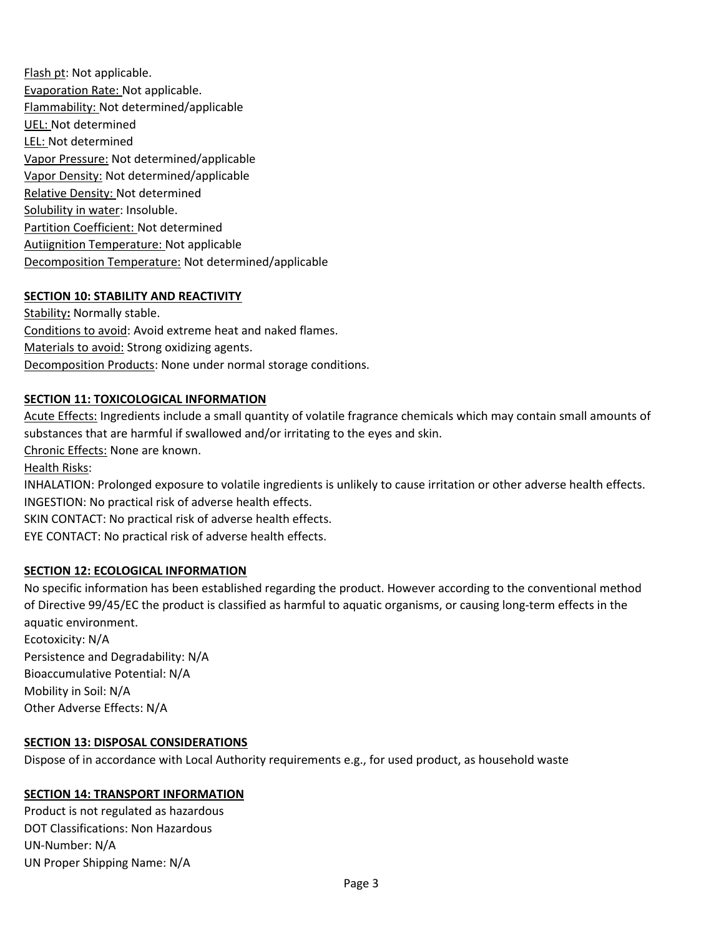Flash pt: Not applicable. Evaporation Rate: Not applicable. Flammability: Not determined/applicable UEL: Not determined LEL: Not determined Vapor Pressure: Not determined/applicable Vapor Density: Not determined/applicable Relative Density: Not determined Solubility in water: Insoluble. Partition Coefficient: Not determined Autiignition Temperature: Not applicable Decomposition Temperature: Not determined/applicable

### **SECTION 10: STABILITY AND REACTIVITY**

Stability**:** Normally stable. Conditions to avoid: Avoid extreme heat and naked flames. Materials to avoid: Strong oxidizing agents. Decomposition Products: None under normal storage conditions.

### **SECTION 11: TOXICOLOGICAL INFORMATION**

Acute Effects: Ingredients include a small quantity of volatile fragrance chemicals which may contain small amounts of substances that are harmful if swallowed and/or irritating to the eyes and skin. Chronic Effects: None are known. Health Risks: INHALATION: Prolonged exposure to volatile ingredients is unlikely to cause irritation or other adverse health effects. INGESTION: No practical risk of adverse health effects. SKIN CONTACT: No practical risk of adverse health effects. EYE CONTACT: No practical risk of adverse health effects. **SECTION 12: ECOLOGICAL INFORMATION**

No specific information has been established regarding the product. However according to the conventional method of Directive 99/45/EC the product is classified as harmful to aquatic organisms, or causing long-term effects in the aquatic environment. Ecotoxicity: N/A Persistence and Degradability: N/A Bioaccumulative Potential: N/A Mobility in Soil: N/A

Other Adverse Effects: N/A

### **SECTION 13: DISPOSAL CONSIDERATIONS**

Dispose of in accordance with Local Authority requirements e.g., for used product, as household waste

## **SECTION 14: TRANSPORT INFORMATION**

Product is not regulated as hazardous DOT Classifications: Non Hazardous UN-Number: N/A UN Proper Shipping Name: N/A